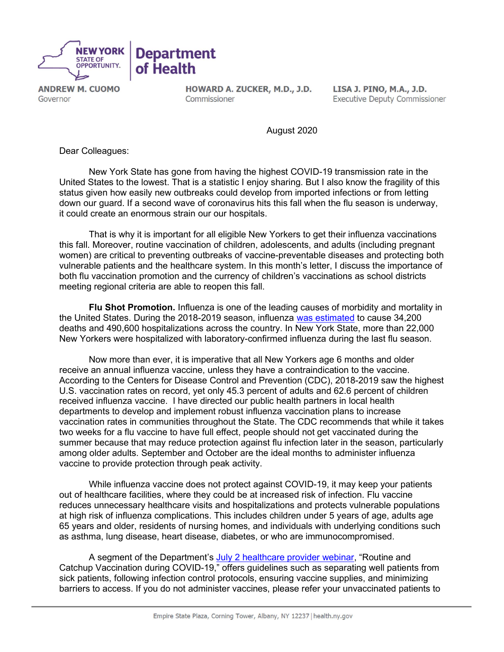

**ANDREW M. CUOMO** Governor

HOWARD A. ZUCKER, M.D., J.D. Commissioner

LISA J. PINO, M.A., J.D. **Executive Deputy Commissioner** 

August 2020

Dear Colleagues:

New York State has gone from having the highest COVID-19 transmission rate in the United States to the lowest. That is a statistic I enjoy sharing. But I also know the fragility of this status given how easily new outbreaks could develop from imported infections or from letting down our guard. If a second wave of coronavirus hits this fall when the flu season is underway, it could create an enormous strain our our hospitals.

That is why it is important for all eligible New Yorkers to get their influenza vaccinations this fall. Moreover, routine vaccination of children, adolescents, and adults (including pregnant women) are critical to preventing outbreaks of vaccine-preventable diseases and protecting both vulnerable patients and the healthcare system. In this month's letter, I discuss the importance of both flu vaccination promotion and the currency of children's vaccinations as school districts meeting regional criteria are able to reopen this fall.

Flu Shot Promotion. Influenza is one of the leading causes of morbidity and mortality in the United States. During the 2018-2019 season, influenza [was estimated](https://www.cdc.gov/flu/about/burden/2018-2019.html) to cause 34,200 deaths and 490,600 hospitalizations across the country. In New York State, more than 22,000 New Yorkers were hospitalized with laboratory-confirmed influenza during the last flu season.

Now more than ever, it is imperative that all New Yorkers age 6 months and older receive an annual influenza vaccine, unless they have a contraindication to the vaccine. According to the Centers for Disease Control and Prevention (CDC), 2018-2019 saw the highest U.S. vaccination rates on record, yet only 45.3 percent of adults and 62.6 percent of children received influenza vaccine. I have directed our public health partners in local health departments to develop and implement robust influenza vaccination plans to increase vaccination rates in communities throughout the State. The CDC recommends that while it takes two weeks for a flu vaccine to have full effect, people should not get vaccinated during the summer because that may reduce protection against flu infection later in the season, particularly among older adults. September and October are the ideal months to administer influenza vaccine to provide protection through peak activity.

While influenza vaccine does not protect against COVID-19, it may keep your patients out of healthcare facilities, where they could be at increased risk of infection. Flu vaccine reduces unnecessary healthcare visits and hospitalizations and protects vulnerable populations at high risk of influenza complications. This includes children under 5 years of age, adults age 65 years and older, residents of nursing homes, and individuals with underlying conditions such as asthma, lung disease, heart disease, diabetes, or who are immunocompromised.

A segment of the Department's [July 2 healthcare provider webinar,](https://coronavirus.health.ny.gov/system/files/documents/2020/07/nysdoh_hcp_webinar_7220_final.pdf) "Routine and Catchup Vaccination during COVID-19," offers guidelines such as separating well patients from sick patients, following infection control protocols, ensuring vaccine supplies, and minimizing barriers to access. If you do not administer vaccines, please refer your unvaccinated patients to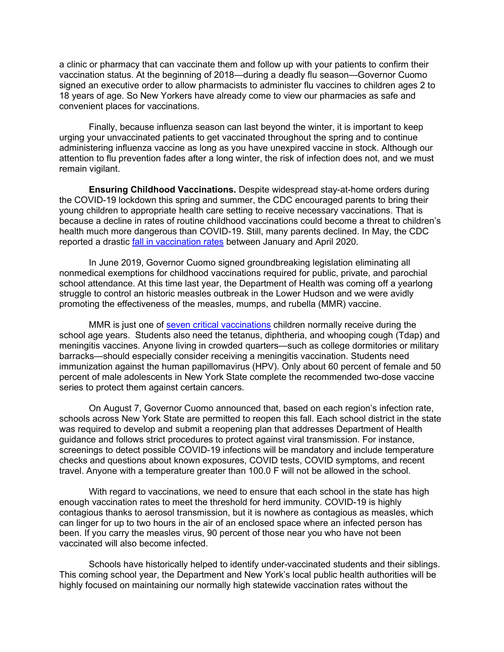a clinic or pharmacy that can vaccinate them and follow up with your patients to confirm their vaccination status. At the beginning of 2018—during a deadly flu season—Governor Cuomo signed an executive order to allow pharmacists to administer flu vaccines to children ages 2 to 18 years of age. So New Yorkers have already come to view our pharmacies as safe and convenient places for vaccinations.

Finally, because influenza season can last beyond the winter, it is important to keep urging your unvaccinated patients to get vaccinated throughout the spring and to continue administering influenza vaccine as long as you have unexpired vaccine in stock. Although our attention to flu prevention fades after a long winter, the risk of infection does not, and we must remain vigilant.

Ensuring Childhood Vaccinations. Despite widespread stay-at-home orders during the COVID-19 lockdown this spring and summer, the CDC encouraged parents to bring their young children to appropriate health care setting to receive necessary vaccinations. That is because a decline in rates of routine childhood vaccinations could become a threat to children's health much more dangerous than COVID-19. Still, many parents declined. In May, the CDC reported a drastic [fall in vaccination rates b](https://www.cdc.gov/mmwr/volumes/69/wr/mm6919e2.htm?s_cid=mm6919e2_w)etween January and April 2020.

In June 2019, Governor Cuomo signed groundbreaking legislation eliminating all nonmedical exemptions for childhood vaccinations required for public, private, and parochial school attendance. At this time last year, the Department of Health was coming off a yearlong struggle to control an historic measles outbreak in the Lower Hudson and we were avidly promoting the effectiveness of the measles, mumps, and rubella (MMR) vaccine.

MMR is just one of [seven critical vaccinations](https://www.health.ny.gov/publications/2370.pdf) children normally receive during the school age years. Students also need the tetanus, diphtheria, and whooping cough (Tdap) and meningitis vaccines. Anyone living in crowded quarters—such as college dormitories or military barracks—should especially consider receiving a meningitis vaccination. Students need immunization against the human papillomavirus (HPV). Only about 60 percent of female and 50 percent of male adolescents in New York State complete the recommended two-dose vaccine series to protect them against certain cancers.

On August 7, Governor Cuomo announced that, based on each region's infection rate, schools across New York State are permitted to reopen this fall. Each school district in the state was required to develop and submit a reopening plan that addresses Department of Health guidance and follows strict procedures to protect against viral transmission. For instance, screenings to detect possible COVID-19 infections will be mandatory and include temperature checks and questions about known exposures, COVID tests, COVID symptoms, and recent travel. Anyone with a temperature greater than 100.0 F will not be allowed in the school.

With regard to vaccinations, we need to ensure that each school in the state has high enough vaccination rates to meet the threshold for herd immunity. COVID-19 is highly contagious thanks to aerosol transmission, but it is nowhere as contagious as measles, which can linger for up to two hours in the air of an enclosed space where an infected person has been. If you carry the measles virus, 90 percent of those near you who have not been vaccinated will also become infected.

Schools have historically helped to identify under-vaccinated students and their siblings. This coming school year, the Department and New York's local public health authorities will be highly focused on maintaining our normally high statewide vaccination rates without the